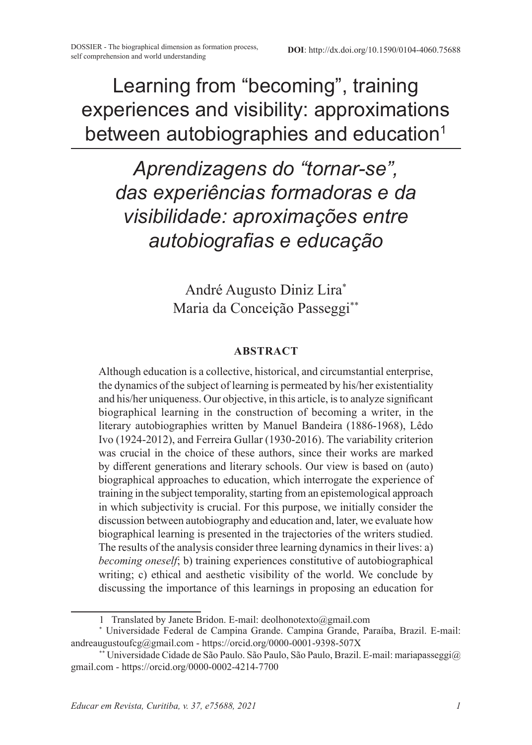Learning from "becoming", training experiences and visibility: approximations between autobiographies and education<sup>1</sup>

*Aprendizagens do "tornar-se", das experiências formadoras e da visibilidade: aproximações entre autobiografias e educação*

> André Augusto Diniz Lira\* Maria da Conceição Passeggi\*\*

#### **ABSTRACT**

Although education is a collective, historical, and circumstantial enterprise, the dynamics of the subject of learning is permeated by his/her existentiality and his/her uniqueness. Our objective, in this article, is to analyze significant biographical learning in the construction of becoming a writer, in the literary autobiographies written by Manuel Bandeira (1886-1968), Lêdo Ivo (1924-2012), and Ferreira Gullar (1930-2016). The variability criterion was crucial in the choice of these authors, since their works are marked by different generations and literary schools. Our view is based on (auto) biographical approaches to education, which interrogate the experience of training in the subject temporality, starting from an epistemological approach in which subjectivity is crucial. For this purpose, we initially consider the discussion between autobiography and education and, later, we evaluate how biographical learning is presented in the trajectories of the writers studied. The results of the analysis consider three learning dynamics in their lives: a) *becoming oneself*; b) training experiences constitutive of autobiographical writing; c) ethical and aesthetic visibility of the world. We conclude by discussing the importance of this learnings in proposing an education for

<sup>1</sup> Translated by Janete Bridon. E-mail: deolhonotexto@gmail.com

<sup>\*</sup> Universidade Federal de Campina Grande. Campina Grande, Paraíba, Brazil. E-mail: andreaugustoufcg@gmail.com - https://orcid.org/0000-0001-9398-507X

<sup>\*\*</sup> Universidade Cidade de São Paulo. São Paulo, São Paulo, Brazil. E-mail: mariapasseggi@ gmail.com - https://orcid.org/0000-0002-4214-7700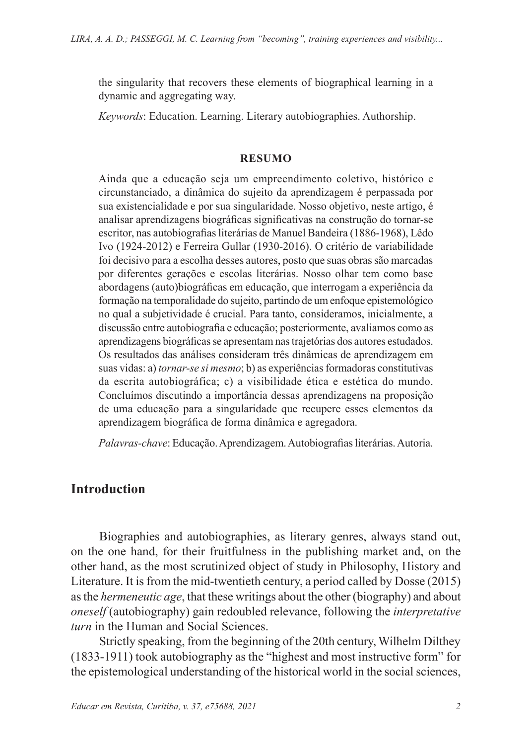the singularity that recovers these elements of biographical learning in a dynamic and aggregating way.

*Keywords*: Education. Learning. Literary autobiographies. Authorship.

#### **RESUMO**

Ainda que a educação seja um empreendimento coletivo, histórico e circunstanciado, a dinâmica do sujeito da aprendizagem é perpassada por sua existencialidade e por sua singularidade. Nosso objetivo, neste artigo, é analisar aprendizagens biográficas significativas na construção do tornar-se escritor, nas autobiografias literárias de Manuel Bandeira (1886-1968), Lêdo Ivo (1924-2012) e Ferreira Gullar (1930-2016). O critério de variabilidade foi decisivo para a escolha desses autores, posto que suas obras são marcadas por diferentes gerações e escolas literárias. Nosso olhar tem como base abordagens (auto)biográficas em educação, que interrogam a experiência da formação na temporalidade do sujeito, partindo de um enfoque epistemológico no qual a subjetividade é crucial. Para tanto, consideramos, inicialmente, a discussão entre autobiografia e educação; posteriormente, avaliamos como as aprendizagens biográficas se apresentam nas trajetórias dos autores estudados. Os resultados das análises consideram três dinâmicas de aprendizagem em suas vidas: a) *tornar-se si mesmo*; b) as experiências formadoras constitutivas da escrita autobiográfica; c) a visibilidade ética e estética do mundo. Concluímos discutindo a importância dessas aprendizagens na proposição de uma educação para a singularidade que recupere esses elementos da aprendizagem biográfica de forma dinâmica e agregadora.

*Palavras-chave*: Educação. Aprendizagem. Autobiografias literárias. Autoria.

# **Introduction**

Biographies and autobiographies, as literary genres, always stand out, on the one hand, for their fruitfulness in the publishing market and, on the other hand, as the most scrutinized object of study in Philosophy, History and Literature. It is from the mid-twentieth century, a period called by Dosse (2015) as the *hermeneutic age*, that these writings about the other (biography) and about *oneself* (autobiography) gain redoubled relevance, following the *interpretative turn* in the Human and Social Sciences.

Strictly speaking, from the beginning of the 20th century, Wilhelm Dilthey (1833-1911) took autobiography as the "highest and most instructive form" for the epistemological understanding of the historical world in the social sciences,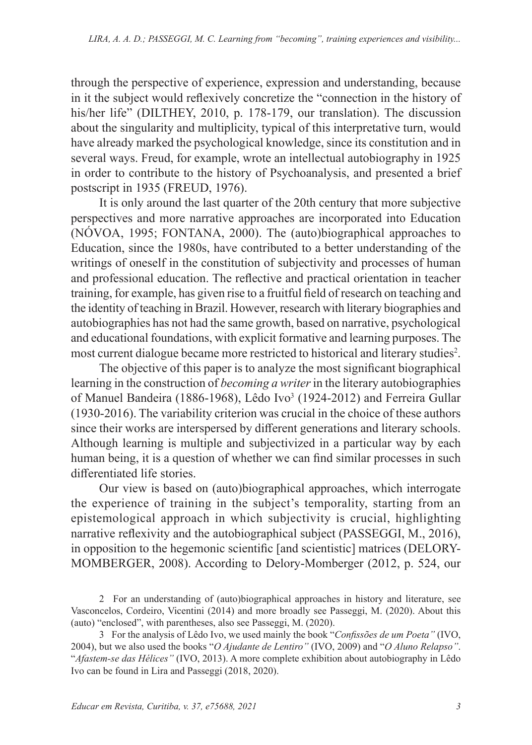through the perspective of experience, expression and understanding, because in it the subject would reflexively concretize the "connection in the history of his/her life" (DILTHEY, 2010, p. 178-179, our translation). The discussion about the singularity and multiplicity, typical of this interpretative turn, would have already marked the psychological knowledge, since its constitution and in several ways. Freud, for example, wrote an intellectual autobiography in 1925 in order to contribute to the history of Psychoanalysis, and presented a brief postscript in 1935 (FREUD, 1976).

It is only around the last quarter of the 20th century that more subjective perspectives and more narrative approaches are incorporated into Education (NÓVOA, 1995; FONTANA, 2000). The (auto)biographical approaches to Education, since the 1980s, have contributed to a better understanding of the writings of oneself in the constitution of subjectivity and processes of human and professional education. The reflective and practical orientation in teacher training, for example, has given rise to a fruitful field of research on teaching and the identity of teaching in Brazil. However, research with literary biographies and autobiographies has not had the same growth, based on narrative, psychological and educational foundations, with explicit formative and learning purposes. The most current dialogue became more restricted to historical and literary studies<sup>2</sup>.

The objective of this paper is to analyze the most significant biographical learning in the construction of *becoming a writer* in the literary autobiographies of Manuel Bandeira (1886-1968), Lêdo Ivo<sup>3</sup> (1924-2012) and Ferreira Gullar (1930-2016). The variability criterion was crucial in the choice of these authors since their works are interspersed by different generations and literary schools. Although learning is multiple and subjectivized in a particular way by each human being, it is a question of whether we can find similar processes in such differentiated life stories.

Our view is based on (auto)biographical approaches, which interrogate the experience of training in the subject's temporality, starting from an epistemological approach in which subjectivity is crucial, highlighting narrative reflexivity and the autobiographical subject (PASSEGGI, M., 2016), in opposition to the hegemonic scientific [and scientistic] matrices (DELORY-MOMBERGER, 2008). According to Delory-Momberger (2012, p. 524, our

<sup>2</sup> For an understanding of (auto)biographical approaches in history and literature, see Vasconcelos, Cordeiro, Vicentini (2014) and more broadly see Passeggi, M. (2020). About this (auto) "enclosed", with parentheses, also see Passeggi, M. (2020).

<sup>3</sup> For the analysis of Lêdo Ivo, we used mainly the book "*Confissões de um Poeta"* (IVO, 2004), but we also used the books "*O Ajudante de Lentiro"* (IVO, 2009) and "*O Aluno Relapso"*. "*Afastem-se das Hélices"* (IVO, 2013). A more complete exhibition about autobiography in Lêdo Ivo can be found in Lira and Passeggi (2018, 2020).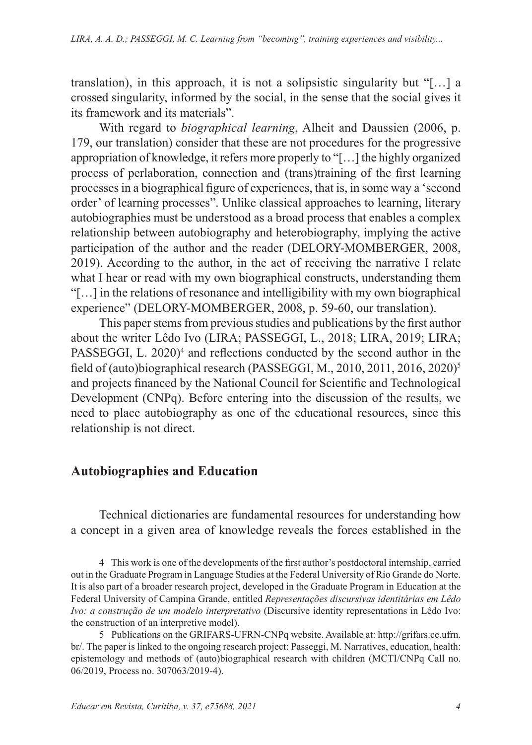translation), in this approach, it is not a solipsistic singularity but "[…] a crossed singularity, informed by the social, in the sense that the social gives it its framework and its materials".

With regard to *biographical learning*, Alheit and Daussien (2006, p. 179, our translation) consider that these are not procedures for the progressive appropriation of knowledge, it refers more properly to "[…] the highly organized process of perlaboration, connection and (trans)training of the first learning processes in a biographical figure of experiences, that is, in some way a 'second order' of learning processes". Unlike classical approaches to learning, literary autobiographies must be understood as a broad process that enables a complex relationship between autobiography and heterobiography, implying the active participation of the author and the reader (DELORY-MOMBERGER, 2008, 2019). According to the author, in the act of receiving the narrative I relate what I hear or read with my own biographical constructs, understanding them "[…] in the relations of resonance and intelligibility with my own biographical experience" (DELORY-MOMBERGER, 2008, p. 59-60, our translation).

This paper stems from previous studies and publications by the first author about the writer Lêdo Ivo (LIRA; PASSEGGI, L., 2018; LIRA, 2019; LIRA;  $PASSEGGI, L. 2020<sup>4</sup>$  and reflections conducted by the second author in the field of (auto)biographical research (PASSEGGI, M., 2010, 2011, 2016, 2020)<sup>5</sup> and projects financed by the National Council for Scientific and Technological Development (CNPq). Before entering into the discussion of the results, we need to place autobiography as one of the educational resources, since this relationship is not direct.

### **Autobiographies and Education**

Technical dictionaries are fundamental resources for understanding how a concept in a given area of knowledge reveals the forces established in the

<sup>4</sup> This work is one of the developments of the first author's postdoctoral internship, carried out in the Graduate Program in Language Studies at the Federal University of Rio Grande do Norte. It is also part of a broader research project, developed in the Graduate Program in Education at the Federal University of Campina Grande, entitled *Representações discursivas identitárias em Lêdo Ivo: a construção de um modelo interpretativo* (Discursive identity representations in Lêdo Ivo: the construction of an interpretive model).

<sup>5</sup> Publications on the GRIFARS-UFRN-CNPq website. Available at: http://grifars.ce.ufrn. br/. The paper is linked to the ongoing research project: Passeggi, M. Narratives, education, health: epistemology and methods of (auto)biographical research with children (MCTI/CNPq Call no. 06/2019, Process no. 307063/2019-4).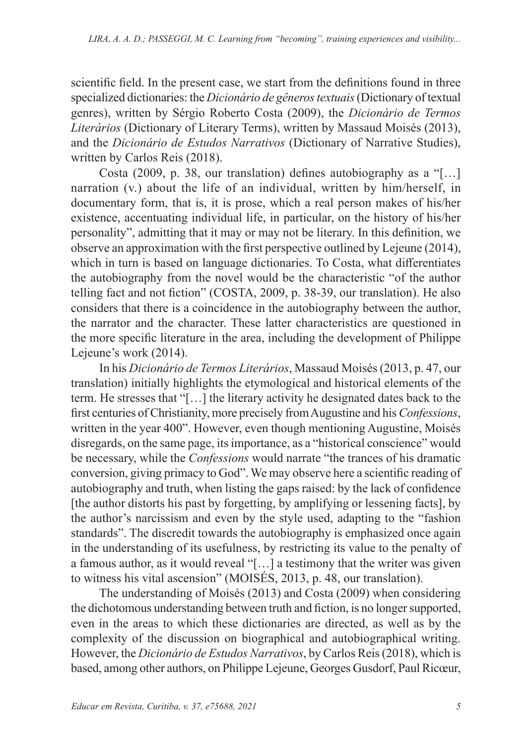scientific field. In the present case, we start from the definitions found in three specialized dictionaries: the *Dicionário de gêneros textuais* (Dictionary of textual genres), written by Sérgio Roberto Costa (2009), the *Dicionário de Termos Literários* (Dictionary of Literary Terms), written by Massaud Moisés (2013), and the *Dicionário de Estudos Narrativos* (Dictionary of Narrative Studies), written by Carlos Reis (2018).

Costa (2009, p. 38, our translation) defines autobiography as a "[…] narration (v.) about the life of an individual, written by him/herself, in documentary form, that is, it is prose, which a real person makes of his/her existence, accentuating individual life, in particular, on the history of his/her personality", admitting that it may or may not be literary. In this definition, we observe an approximation with the first perspective outlined by Lejeune (2014), which in turn is based on language dictionaries. To Costa, what differentiates the autobiography from the novel would be the characteristic "of the author telling fact and not fiction" (COSTA, 2009, p. 38-39, our translation). He also considers that there is a coincidence in the autobiography between the author, the narrator and the character. These latter characteristics are questioned in the more specific literature in the area, including the development of Philippe Lejeune's work (2014).

In his *Dicionário de Termos Literários*, Massaud Moisés (2013, p. 47, our translation) initially highlights the etymological and historical elements of the term. He stresses that "[…] the literary activity he designated dates back to the first centuries of Christianity, more precisely from Augustine and his *Confessions*, written in the year 400". However, even though mentioning Augustine, Moisés disregards, on the same page, its importance, as a "historical conscience" would be necessary, while the *Confessions* would narrate "the trances of his dramatic conversion, giving primacy to God". We may observe here a scientific reading of autobiography and truth, when listing the gaps raised: by the lack of confidence [the author distorts his past by forgetting, by amplifying or lessening facts], by the author's narcissism and even by the style used, adapting to the "fashion standards". The discredit towards the autobiography is emphasized once again in the understanding of its usefulness, by restricting its value to the penalty of a famous author, as it would reveal "[…] a testimony that the writer was given to witness his vital ascension" (MOISÉS, 2013, p. 48, our translation).

The understanding of Moisés (2013) and Costa (2009) when considering the dichotomous understanding between truth and fiction, is no longer supported, even in the areas to which these dictionaries are directed, as well as by the complexity of the discussion on biographical and autobiographical writing. However, the *Dicionário de Estudos Narrativos*, by Carlos Reis (2018), which is based, among other authors, on Philippe Lejeune, Georges Gusdorf, Paul Ricœur,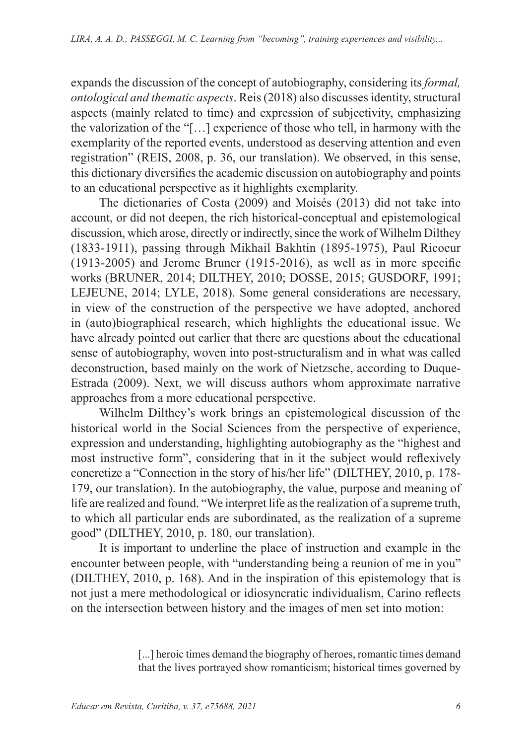expands the discussion of the concept of autobiography, considering its *formal, ontological and thematic aspects*. Reis (2018) also discusses identity, structural aspects (mainly related to time) and expression of subjectivity, emphasizing the valorization of the "[…] experience of those who tell, in harmony with the exemplarity of the reported events, understood as deserving attention and even registration" (REIS, 2008, p. 36, our translation). We observed, in this sense, this dictionary diversifies the academic discussion on autobiography and points to an educational perspective as it highlights exemplarity.

The dictionaries of Costa (2009) and Moisés (2013) did not take into account, or did not deepen, the rich historical-conceptual and epistemological discussion, which arose, directly or indirectly, since the work of Wilhelm Dilthey (1833-1911), passing through Mikhail Bakhtin (1895-1975), Paul Ricoeur (1913-2005) and Jerome Bruner (1915-2016), as well as in more specific works (BRUNER, 2014; DILTHEY, 2010; DOSSE, 2015; GUSDORF, 1991; LEJEUNE, 2014; LYLE, 2018). Some general considerations are necessary, in view of the construction of the perspective we have adopted, anchored in (auto)biographical research, which highlights the educational issue. We have already pointed out earlier that there are questions about the educational sense of autobiography, woven into post-structuralism and in what was called deconstruction, based mainly on the work of Nietzsche, according to Duque-Estrada (2009). Next, we will discuss authors whom approximate narrative approaches from a more educational perspective.

Wilhelm Dilthey's work brings an epistemological discussion of the historical world in the Social Sciences from the perspective of experience, expression and understanding, highlighting autobiography as the "highest and most instructive form", considering that in it the subject would reflexively concretize a "Connection in the story of his/her life" (DILTHEY, 2010, p. 178- 179, our translation). In the autobiography, the value, purpose and meaning of life are realized and found. "We interpret life as the realization of a supreme truth, to which all particular ends are subordinated, as the realization of a supreme good" (DILTHEY, 2010, p. 180, our translation).

It is important to underline the place of instruction and example in the encounter between people, with "understanding being a reunion of me in you" (DILTHEY, 2010, p. 168). And in the inspiration of this epistemology that is not just a mere methodological or idiosyncratic individualism, Carino reflects on the intersection between history and the images of men set into motion:

<sup>[...]</sup> heroic times demand the biography of heroes, romantic times demand that the lives portrayed show romanticism; historical times governed by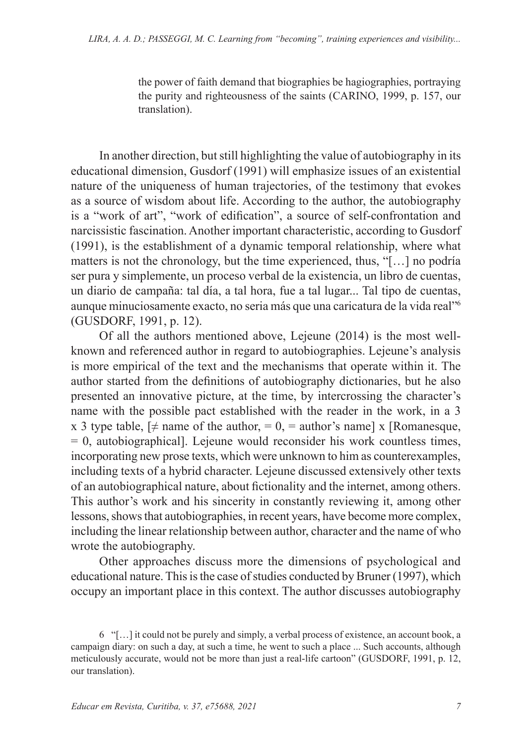the power of faith demand that biographies be hagiographies, portraying the purity and righteousness of the saints (CARINO, 1999, p. 157, our translation).

In another direction, but still highlighting the value of autobiography in its educational dimension, Gusdorf (1991) will emphasize issues of an existential nature of the uniqueness of human trajectories, of the testimony that evokes as a source of wisdom about life. According to the author, the autobiography is a "work of art", "work of edification", a source of self-confrontation and narcissistic fascination. Another important characteristic, according to Gusdorf (1991), is the establishment of a dynamic temporal relationship, where what matters is not the chronology, but the time experienced, thus, "[…] no podría ser pura y simplemente, un proceso verbal de la existencia, un libro de cuentas, un diario de campaña: tal día, a tal hora, fue a tal lugar... Tal tipo de cuentas, aunque minuciosamente exacto, no seria más que una caricatura de la vida real"6 (GUSDORF, 1991, p. 12).

Of all the authors mentioned above, Lejeune (2014) is the most wellknown and referenced author in regard to autobiographies. Lejeune's analysis is more empirical of the text and the mechanisms that operate within it. The author started from the definitions of autobiography dictionaries, but he also presented an innovative picture, at the time, by intercrossing the character's name with the possible pact established with the reader in the work, in a 3 x 3 type table,  $\neq$  name of the author, = 0, = author's name] x [Romanesque,  $= 0$ , autobiographical]. Lejeune would reconsider his work countless times, incorporating new prose texts, which were unknown to him as counterexamples, including texts of a hybrid character. Lejeune discussed extensively other texts of an autobiographical nature, about fictionality and the internet, among others. This author's work and his sincerity in constantly reviewing it, among other lessons, shows that autobiographies, in recent years, have become more complex, including the linear relationship between author, character and the name of who wrote the autobiography.

Other approaches discuss more the dimensions of psychological and educational nature. This is the case of studies conducted by Bruner (1997), which occupy an important place in this context. The author discusses autobiography

<sup>6 &</sup>quot;[…] it could not be purely and simply, a verbal process of existence, an account book, a campaign diary: on such a day, at such a time, he went to such a place ... Such accounts, although meticulously accurate, would not be more than just a real-life cartoon" (GUSDORF, 1991, p. 12, our translation).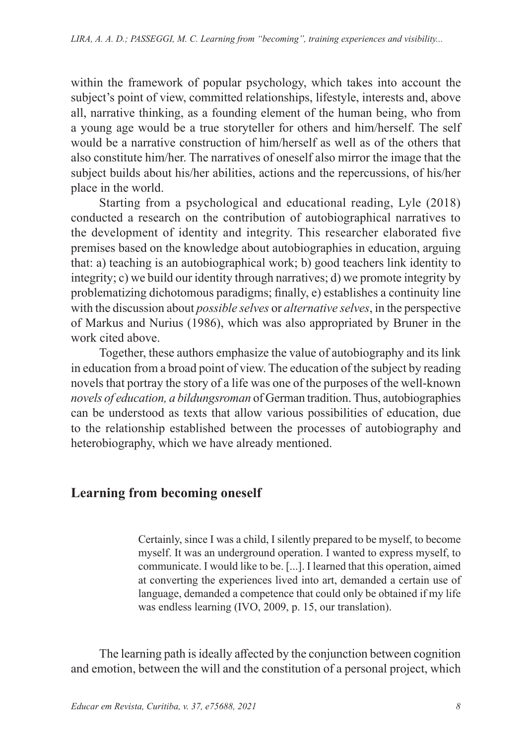within the framework of popular psychology, which takes into account the subject's point of view, committed relationships, lifestyle, interests and, above all, narrative thinking, as a founding element of the human being, who from a young age would be a true storyteller for others and him/herself. The self would be a narrative construction of him/herself as well as of the others that also constitute him/her. The narratives of oneself also mirror the image that the subject builds about his/her abilities, actions and the repercussions, of his/her place in the world.

Starting from a psychological and educational reading, Lyle (2018) conducted a research on the contribution of autobiographical narratives to the development of identity and integrity. This researcher elaborated five premises based on the knowledge about autobiographies in education, arguing that: a) teaching is an autobiographical work; b) good teachers link identity to integrity; c) we build our identity through narratives; d) we promote integrity by problematizing dichotomous paradigms; finally, e) establishes a continuity line with the discussion about *possible selves* or *alternative selves*, in the perspective of Markus and Nurius (1986), which was also appropriated by Bruner in the work cited above.

Together, these authors emphasize the value of autobiography and its link in education from a broad point of view. The education of the subject by reading novels that portray the story of a life was one of the purposes of the well-known *novels of education, a bildungsroman* of German tradition. Thus, autobiographies can be understood as texts that allow various possibilities of education, due to the relationship established between the processes of autobiography and heterobiography, which we have already mentioned.

### **Learning from becoming oneself**

Certainly, since I was a child, I silently prepared to be myself, to become myself. It was an underground operation. I wanted to express myself, to communicate. I would like to be. [...]. I learned that this operation, aimed at converting the experiences lived into art, demanded a certain use of language, demanded a competence that could only be obtained if my life was endless learning (IVO, 2009, p. 15, our translation).

The learning path is ideally affected by the conjunction between cognition and emotion, between the will and the constitution of a personal project, which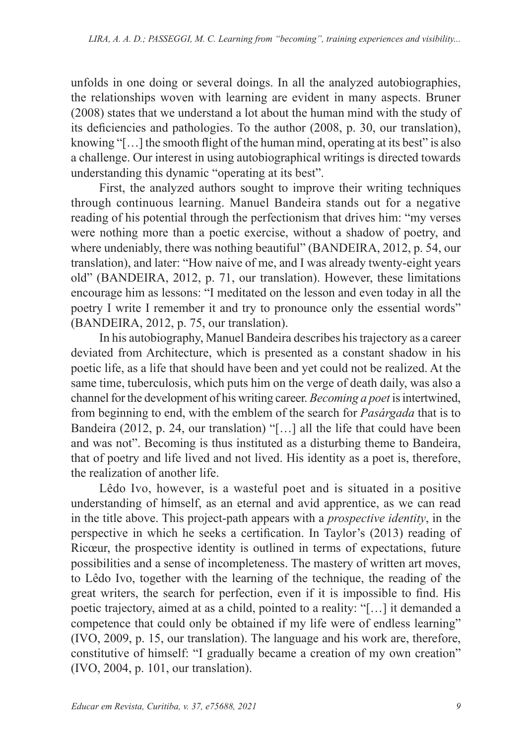unfolds in one doing or several doings. In all the analyzed autobiographies, the relationships woven with learning are evident in many aspects. Bruner (2008) states that we understand a lot about the human mind with the study of its deficiencies and pathologies. To the author (2008, p. 30, our translation), knowing "[...] the smooth flight of the human mind, operating at its best" is also a challenge. Our interest in using autobiographical writings is directed towards understanding this dynamic "operating at its best".

First, the analyzed authors sought to improve their writing techniques through continuous learning. Manuel Bandeira stands out for a negative reading of his potential through the perfectionism that drives him: "my verses were nothing more than a poetic exercise, without a shadow of poetry, and where undeniably, there was nothing beautiful" (BANDEIRA, 2012, p. 54, our translation), and later: "How naive of me, and I was already twenty-eight years old" (BANDEIRA, 2012, p. 71, our translation). However, these limitations encourage him as lessons: "I meditated on the lesson and even today in all the poetry I write I remember it and try to pronounce only the essential words" (BANDEIRA, 2012, p. 75, our translation).

In his autobiography, Manuel Bandeira describes his trajectory as a career deviated from Architecture, which is presented as a constant shadow in his poetic life, as a life that should have been and yet could not be realized. At the same time, tuberculosis, which puts him on the verge of death daily, was also a channel for the development of his writing career. *Becoming a poet* is intertwined, from beginning to end, with the emblem of the search for *Pasárgada* that is to Bandeira (2012, p. 24, our translation) "[…] all the life that could have been and was not". Becoming is thus instituted as a disturbing theme to Bandeira, that of poetry and life lived and not lived. His identity as a poet is, therefore, the realization of another life.

Lêdo Ivo, however, is a wasteful poet and is situated in a positive understanding of himself, as an eternal and avid apprentice, as we can read in the title above. This project-path appears with a *prospective identity*, in the perspective in which he seeks a certification. In Taylor's (2013) reading of Ricœur, the prospective identity is outlined in terms of expectations, future possibilities and a sense of incompleteness. The mastery of written art moves, to Lêdo Ivo, together with the learning of the technique, the reading of the great writers, the search for perfection, even if it is impossible to find. His poetic trajectory, aimed at as a child, pointed to a reality: "[…] it demanded a competence that could only be obtained if my life were of endless learning" (IVO, 2009, p. 15, our translation). The language and his work are, therefore, constitutive of himself: "I gradually became a creation of my own creation" (IVO, 2004, p. 101, our translation).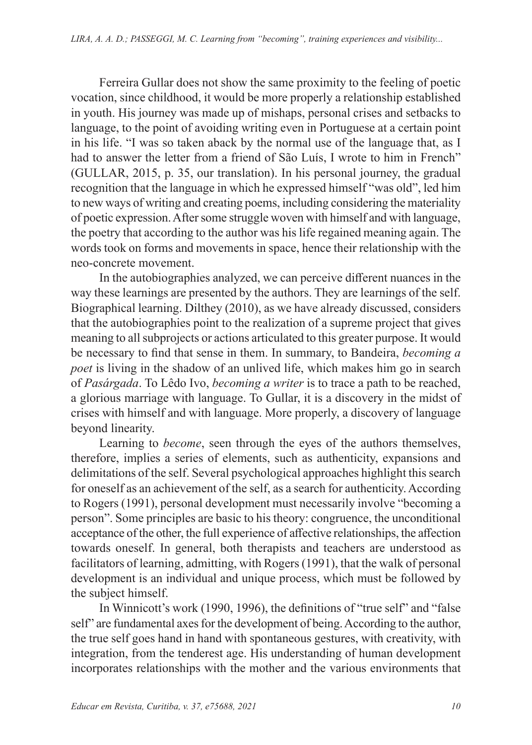Ferreira Gullar does not show the same proximity to the feeling of poetic vocation, since childhood, it would be more properly a relationship established in youth. His journey was made up of mishaps, personal crises and setbacks to language, to the point of avoiding writing even in Portuguese at a certain point in his life. "I was so taken aback by the normal use of the language that, as I had to answer the letter from a friend of São Luís, I wrote to him in French" (GULLAR, 2015, p. 35, our translation). In his personal journey, the gradual recognition that the language in which he expressed himself "was old", led him to new ways of writing and creating poems, including considering the materiality of poetic expression. After some struggle woven with himself and with language, the poetry that according to the author was his life regained meaning again. The words took on forms and movements in space, hence their relationship with the neo-concrete movement.

In the autobiographies analyzed, we can perceive different nuances in the way these learnings are presented by the authors. They are learnings of the self. Biographical learning. Dilthey (2010), as we have already discussed, considers that the autobiographies point to the realization of a supreme project that gives meaning to all subprojects or actions articulated to this greater purpose. It would be necessary to find that sense in them. In summary, to Bandeira, *becoming a poet* is living in the shadow of an unlived life, which makes him go in search of *Pasárgada*. To Lêdo Ivo, *becoming a writer* is to trace a path to be reached, a glorious marriage with language. To Gullar, it is a discovery in the midst of crises with himself and with language. More properly, a discovery of language beyond linearity.

Learning to *become*, seen through the eyes of the authors themselves, therefore, implies a series of elements, such as authenticity, expansions and delimitations of the self. Several psychological approaches highlight this search for oneself as an achievement of the self, as a search for authenticity. According to Rogers (1991), personal development must necessarily involve "becoming a person". Some principles are basic to his theory: congruence, the unconditional acceptance of the other, the full experience of affective relationships, the affection towards oneself. In general, both therapists and teachers are understood as facilitators of learning, admitting, with Rogers (1991), that the walk of personal development is an individual and unique process, which must be followed by the subject himself.

In Winnicott's work (1990, 1996), the definitions of "true self" and "false self" are fundamental axes for the development of being. According to the author, the true self goes hand in hand with spontaneous gestures, with creativity, with integration, from the tenderest age. His understanding of human development incorporates relationships with the mother and the various environments that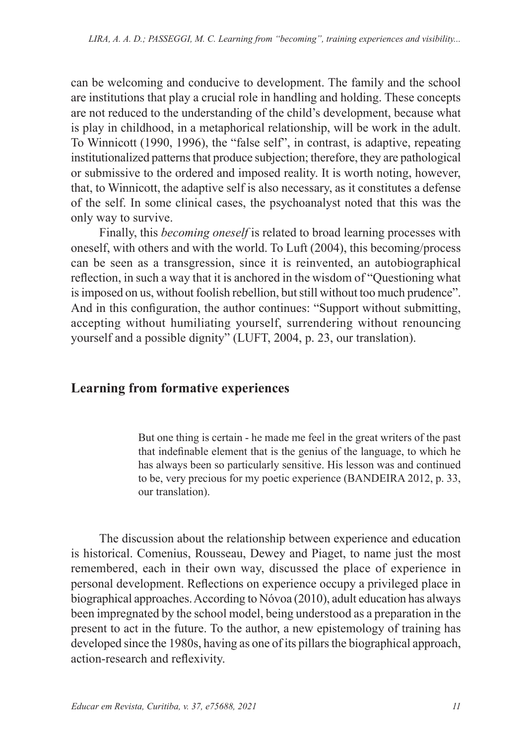can be welcoming and conducive to development. The family and the school are institutions that play a crucial role in handling and holding. These concepts are not reduced to the understanding of the child's development, because what is play in childhood, in a metaphorical relationship, will be work in the adult. To Winnicott (1990, 1996), the "false self", in contrast, is adaptive, repeating institutionalized patterns that produce subjection; therefore, they are pathological or submissive to the ordered and imposed reality. It is worth noting, however, that, to Winnicott, the adaptive self is also necessary, as it constitutes a defense of the self. In some clinical cases, the psychoanalyst noted that this was the only way to survive.

Finally, this *becoming oneself* is related to broad learning processes with oneself, with others and with the world. To Luft (2004), this becoming/process can be seen as a transgression, since it is reinvented, an autobiographical reflection, in such a way that it is anchored in the wisdom of "Questioning what is imposed on us, without foolish rebellion, but still without too much prudence". And in this configuration, the author continues: "Support without submitting, accepting without humiliating yourself, surrendering without renouncing yourself and a possible dignity" (LUFT, 2004, p. 23, our translation).

### **Learning from formative experiences**

But one thing is certain - he made me feel in the great writers of the past that indefinable element that is the genius of the language, to which he has always been so particularly sensitive. His lesson was and continued to be, very precious for my poetic experience (BANDEIRA 2012, p. 33, our translation).

The discussion about the relationship between experience and education is historical. Comenius, Rousseau, Dewey and Piaget, to name just the most remembered, each in their own way, discussed the place of experience in personal development. Reflections on experience occupy a privileged place in biographical approaches. According to Nóvoa (2010), adult education has always been impregnated by the school model, being understood as a preparation in the present to act in the future. To the author, a new epistemology of training has developed since the 1980s, having as one of its pillars the biographical approach, action-research and reflexivity.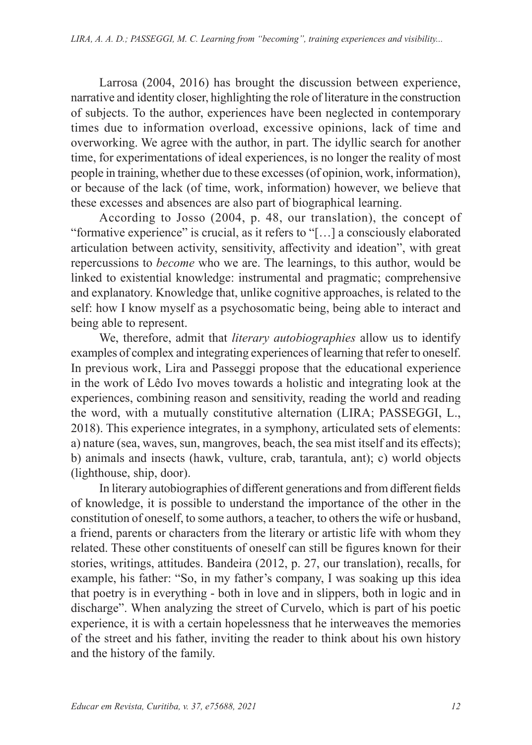Larrosa (2004, 2016) has brought the discussion between experience, narrative and identity closer, highlighting the role of literature in the construction of subjects. To the author, experiences have been neglected in contemporary times due to information overload, excessive opinions, lack of time and overworking. We agree with the author, in part. The idyllic search for another time, for experimentations of ideal experiences, is no longer the reality of most people in training, whether due to these excesses (of opinion, work, information), or because of the lack (of time, work, information) however, we believe that these excesses and absences are also part of biographical learning.

According to Josso (2004, p. 48, our translation), the concept of "formative experience" is crucial, as it refers to "[…] a consciously elaborated articulation between activity, sensitivity, affectivity and ideation", with great repercussions to *become* who we are. The learnings, to this author, would be linked to existential knowledge: instrumental and pragmatic; comprehensive and explanatory. Knowledge that, unlike cognitive approaches, is related to the self: how I know myself as a psychosomatic being, being able to interact and being able to represent.

We, therefore, admit that *literary autobiographies* allow us to identify examples of complex and integrating experiences of learning that refer to oneself. In previous work, Lira and Passeggi propose that the educational experience in the work of Lêdo Ivo moves towards a holistic and integrating look at the experiences, combining reason and sensitivity, reading the world and reading the word, with a mutually constitutive alternation (LIRA; PASSEGGI, L., 2018). This experience integrates, in a symphony, articulated sets of elements: a) nature (sea, waves, sun, mangroves, beach, the sea mist itself and its effects); b) animals and insects (hawk, vulture, crab, tarantula, ant); c) world objects (lighthouse, ship, door).

In literary autobiographies of different generations and from different fields of knowledge, it is possible to understand the importance of the other in the constitution of oneself, to some authors, a teacher, to others the wife or husband, a friend, parents or characters from the literary or artistic life with whom they related. These other constituents of oneself can still be figures known for their stories, writings, attitudes. Bandeira (2012, p. 27, our translation), recalls, for example, his father: "So, in my father's company, I was soaking up this idea that poetry is in everything - both in love and in slippers, both in logic and in discharge". When analyzing the street of Curvelo, which is part of his poetic experience, it is with a certain hopelessness that he interweaves the memories of the street and his father, inviting the reader to think about his own history and the history of the family.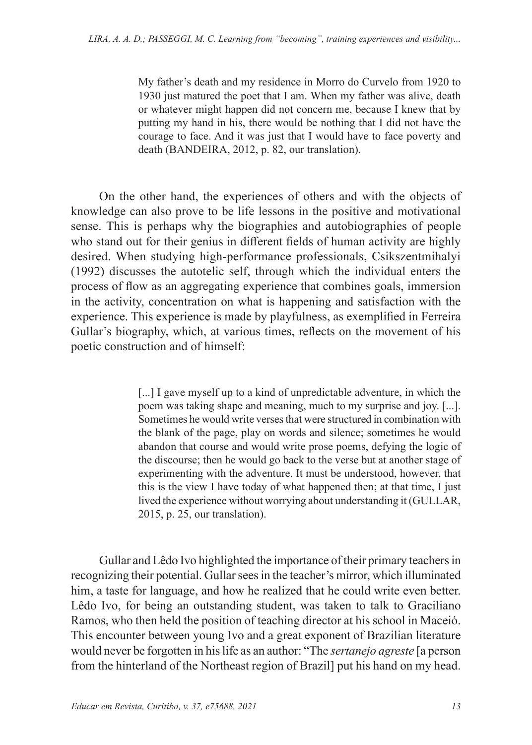My father's death and my residence in Morro do Curvelo from 1920 to 1930 just matured the poet that I am. When my father was alive, death or whatever might happen did not concern me, because I knew that by putting my hand in his, there would be nothing that I did not have the courage to face. And it was just that I would have to face poverty and death (BANDEIRA, 2012, p. 82, our translation).

On the other hand, the experiences of others and with the objects of knowledge can also prove to be life lessons in the positive and motivational sense. This is perhaps why the biographies and autobiographies of people who stand out for their genius in different fields of human activity are highly desired. When studying high-performance professionals, Csikszentmihalyi (1992) discusses the autotelic self, through which the individual enters the process of flow as an aggregating experience that combines goals, immersion in the activity, concentration on what is happening and satisfaction with the experience. This experience is made by playfulness, as exemplified in Ferreira Gullar's biography, which, at various times, reflects on the movement of his poetic construction and of himself:

> [...] I gave myself up to a kind of unpredictable adventure, in which the poem was taking shape and meaning, much to my surprise and joy. [...]. Sometimes he would write verses that were structured in combination with the blank of the page, play on words and silence; sometimes he would abandon that course and would write prose poems, defying the logic of the discourse; then he would go back to the verse but at another stage of experimenting with the adventure. It must be understood, however, that this is the view I have today of what happened then; at that time, I just lived the experience without worrying about understanding it (GULLAR, 2015, p. 25, our translation).

Gullar and Lêdo Ivo highlighted the importance of their primary teachers in recognizing their potential. Gullar sees in the teacher's mirror, which illuminated him, a taste for language, and how he realized that he could write even better. Lêdo Ivo, for being an outstanding student, was taken to talk to Graciliano Ramos, who then held the position of teaching director at his school in Maceió. This encounter between young Ivo and a great exponent of Brazilian literature would never be forgotten in his life as an author: "The *sertanejo agreste* [a person from the hinterland of the Northeast region of Brazil] put his hand on my head.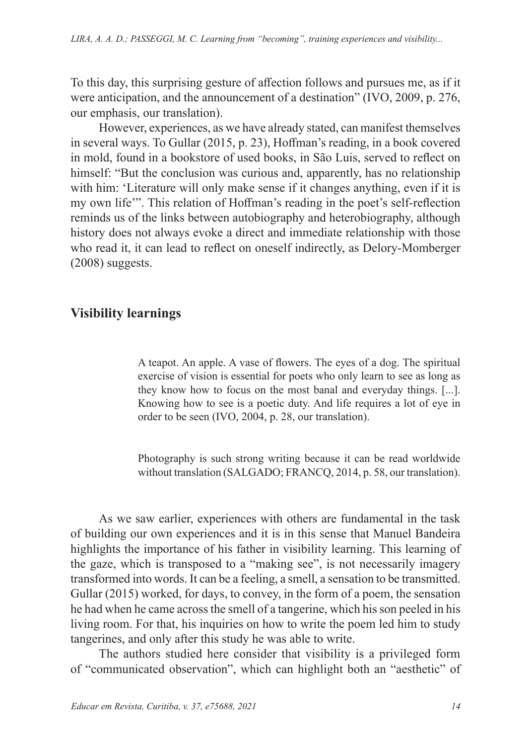To this day, this surprising gesture of affection follows and pursues me, as if it were anticipation, and the announcement of a destination" (IVO, 2009, p. 276, our emphasis, our translation).

However, experiences, as we have already stated, can manifest themselves in several ways. To Gullar (2015, p. 23), Hoffman's reading, in a book covered in mold, found in a bookstore of used books, in São Luis, served to reflect on himself: "But the conclusion was curious and, apparently, has no relationship with him: 'Literature will only make sense if it changes anything, even if it is my own life'". This relation of Hoffman's reading in the poet's self-reflection reminds us of the links between autobiography and heterobiography, although history does not always evoke a direct and immediate relationship with those who read it, it can lead to reflect on oneself indirectly, as Delory-Momberger (2008) suggests.

## **Visibility learnings**

A teapot. An apple. A vase of flowers. The eyes of a dog. The spiritual exercise of vision is essential for poets who only learn to see as long as they know how to focus on the most banal and everyday things. [...]. Knowing how to see is a poetic duty. And life requires a lot of eye in order to be seen (IVO, 2004, p. 28, our translation).

Photography is such strong writing because it can be read worldwide without translation (SALGADO; FRANCQ, 2014, p. 58, our translation).

As we saw earlier, experiences with others are fundamental in the task of building our own experiences and it is in this sense that Manuel Bandeira highlights the importance of his father in visibility learning. This learning of the gaze, which is transposed to a "making see", is not necessarily imagery transformed into words. It can be a feeling, a smell, a sensation to be transmitted. Gullar (2015) worked, for days, to convey, in the form of a poem, the sensation he had when he came across the smell of a tangerine, which his son peeled in his living room. For that, his inquiries on how to write the poem led him to study tangerines, and only after this study he was able to write.

The authors studied here consider that visibility is a privileged form of "communicated observation", which can highlight both an "aesthetic" of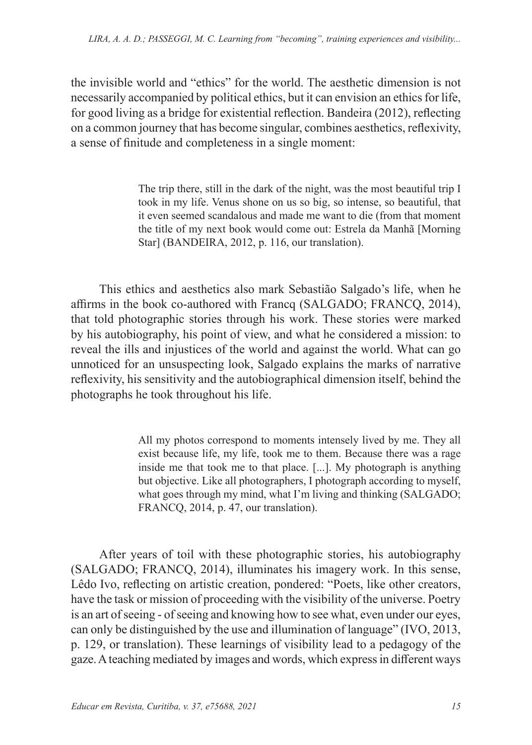the invisible world and "ethics" for the world. The aesthetic dimension is not necessarily accompanied by political ethics, but it can envision an ethics for life, for good living as a bridge for existential reflection. Bandeira (2012), reflecting on a common journey that has become singular, combines aesthetics, reflexivity, a sense of finitude and completeness in a single moment:

> The trip there, still in the dark of the night, was the most beautiful trip I took in my life. Venus shone on us so big, so intense, so beautiful, that it even seemed scandalous and made me want to die (from that moment the title of my next book would come out: Estrela da Manhã [Morning Star] (BANDEIRA, 2012, p. 116, our translation).

This ethics and aesthetics also mark Sebastião Salgado's life, when he affirms in the book co-authored with Francq (SALGADO; FRANCQ, 2014), that told photographic stories through his work. These stories were marked by his autobiography, his point of view, and what he considered a mission: to reveal the ills and injustices of the world and against the world. What can go unnoticed for an unsuspecting look, Salgado explains the marks of narrative reflexivity, his sensitivity and the autobiographical dimension itself, behind the photographs he took throughout his life.

> All my photos correspond to moments intensely lived by me. They all exist because life, my life, took me to them. Because there was a rage inside me that took me to that place. [...]. My photograph is anything but objective. Like all photographers, I photograph according to myself, what goes through my mind, what I'm living and thinking (SALGADO; FRANCQ, 2014, p. 47, our translation).

After years of toil with these photographic stories, his autobiography (SALGADO; FRANCQ, 2014), illuminates his imagery work. In this sense, Lêdo Ivo, reflecting on artistic creation, pondered: "Poets, like other creators, have the task or mission of proceeding with the visibility of the universe. Poetry is an art of seeing - of seeing and knowing how to see what, even under our eyes, can only be distinguished by the use and illumination of language" (IVO, 2013, p. 129, or translation). These learnings of visibility lead to a pedagogy of the gaze. A teaching mediated by images and words, which express in different ways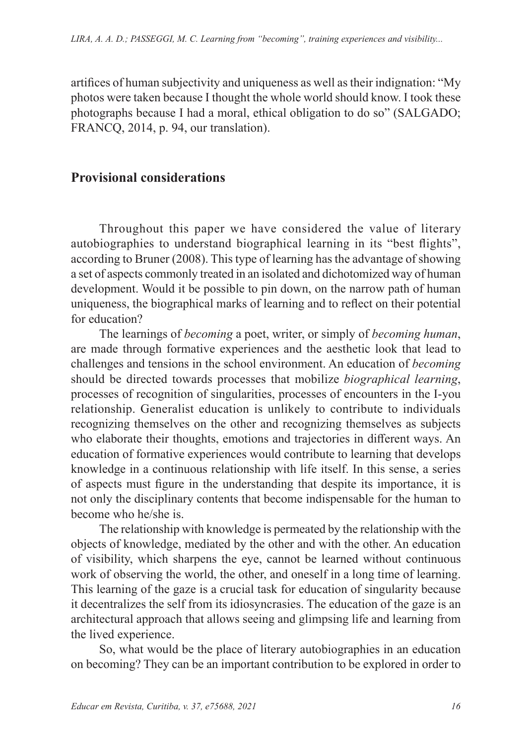artifices of human subjectivity and uniqueness as well as their indignation: "My photos were taken because I thought the whole world should know. I took these photographs because I had a moral, ethical obligation to do so" (SALGADO; FRANCQ, 2014, p. 94, our translation).

## **Provisional considerations**

Throughout this paper we have considered the value of literary autobiographies to understand biographical learning in its "best flights", according to Bruner (2008). This type of learning has the advantage of showing a set of aspects commonly treated in an isolated and dichotomized way of human development. Would it be possible to pin down, on the narrow path of human uniqueness, the biographical marks of learning and to reflect on their potential for education?

The learnings of *becoming* a poet, writer, or simply of *becoming human*, are made through formative experiences and the aesthetic look that lead to challenges and tensions in the school environment. An education of *becoming* should be directed towards processes that mobilize *biographical learning*, processes of recognition of singularities, processes of encounters in the I-you relationship. Generalist education is unlikely to contribute to individuals recognizing themselves on the other and recognizing themselves as subjects who elaborate their thoughts, emotions and trajectories in different ways. An education of formative experiences would contribute to learning that develops knowledge in a continuous relationship with life itself. In this sense, a series of aspects must figure in the understanding that despite its importance, it is not only the disciplinary contents that become indispensable for the human to become who he/she is.

The relationship with knowledge is permeated by the relationship with the objects of knowledge, mediated by the other and with the other. An education of visibility, which sharpens the eye, cannot be learned without continuous work of observing the world, the other, and oneself in a long time of learning. This learning of the gaze is a crucial task for education of singularity because it decentralizes the self from its idiosyncrasies. The education of the gaze is an architectural approach that allows seeing and glimpsing life and learning from the lived experience.

So, what would be the place of literary autobiographies in an education on becoming? They can be an important contribution to be explored in order to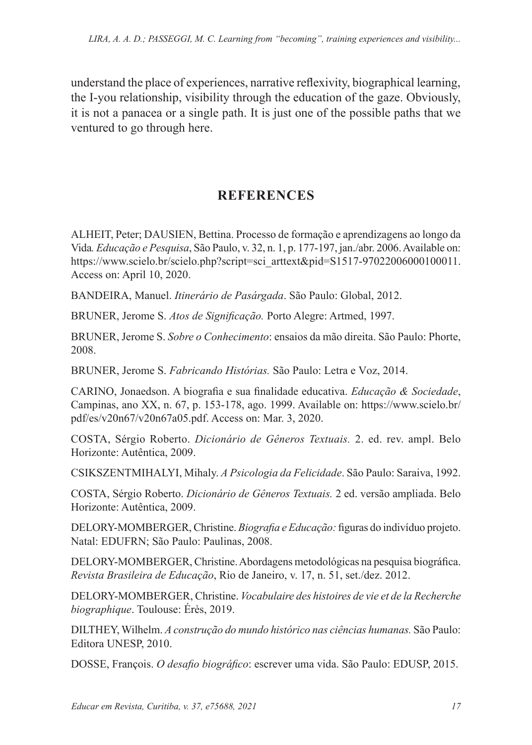understand the place of experiences, narrative reflexivity, biographical learning, the I-you relationship, visibility through the education of the gaze. Obviously, it is not a panacea or a single path. It is just one of the possible paths that we ventured to go through here.

# **REFERENCES**

ALHEIT, Peter; DAUSIEN, Bettina. Processo de formação e aprendizagens ao longo da Vida*. Educação e Pesquisa*, São Paulo, v. 32, n. 1, p. 177-197, jan./abr. 2006. Available on: https://www.scielo.br/scielo.php?script=sci\_arttext&pid=S1517-97022006000100011. Access on: April 10, 2020.

BANDEIRA, Manuel. *Itinerário de Pasárgada*. São Paulo: Global, 2012.

BRUNER, Jerome S. *Atos de Significação.* Porto Alegre: Artmed, 1997.

BRUNER, Jerome S. *Sobre o Conhecimento*: ensaios da mão direita. São Paulo: Phorte, 2008.

BRUNER, Jerome S. *Fabricando Histórias.* São Paulo: Letra e Voz, 2014.

CARINO, Jonaedson. A biografia e sua finalidade educativa. *Educação & Sociedade*, Campinas, ano XX, n. 67, p. 153-178, ago. 1999. Available on: https://www.scielo.br/ pdf/es/v20n67/v20n67a05.pdf. Access on: Mar. 3, 2020.

COSTA, Sérgio Roberto. *Dicionário de Gêneros Textuais.* 2. ed. rev. ampl. Belo Horizonte: Autêntica, 2009.

CSIKSZENTMIHALYI, Mihaly. *A Psicologia da Felicidade*. São Paulo: Saraiva, 1992.

COSTA, Sérgio Roberto. *Dicionário de Gêneros Textuais.* 2 ed. versão ampliada. Belo Horizonte: Autêntica, 2009.

DELORY-MOMBERGER, Christine. *Biografia e Educação:* figuras do indivíduo projeto. Natal: EDUFRN; São Paulo: Paulinas, 2008.

DELORY-MOMBERGER, Christine. Abordagens metodológicas na pesquisa biográfica. *Revista Brasileira de Educação*, Rio de Janeiro, v. 17, n. 51, set./dez. 2012.

DELORY-MOMBERGER, Christine. *Vocabulaire des histoires de vie et de la Recherche biographique*. Toulouse: Érès, 2019.

DILTHEY, Wilhelm. *A construção do mundo histórico nas ciências humanas.* São Paulo: Editora UNESP, 2010.

DOSSE, François. *O desafio biográfico*: escrever uma vida. São Paulo: EDUSP, 2015.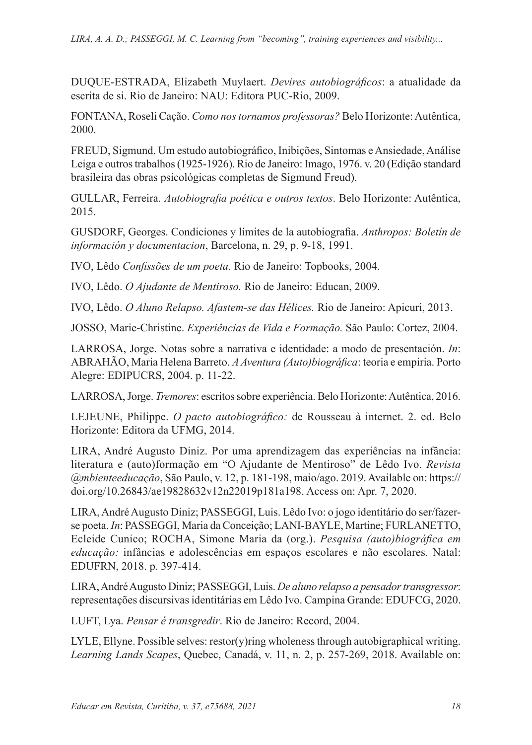DUQUE-ESTRADA, Elizabeth Muylaert. *Devires autobiográficos*: a atualidade da escrita de si. Rio de Janeiro: NAU: Editora PUC-Rio, 2009.

FONTANA, Roseli Cação. *Como nos tornamos professoras?* Belo Horizonte: Autêntica, 2000.

FREUD, Sigmund. Um estudo autobiográfico, Inibições, Sintomas e Ansiedade, Análise Leiga e outros trabalhos (1925-1926). Rio de Janeiro: Imago, 1976. v. 20 (Edição standard brasileira das obras psicológicas completas de Sigmund Freud).

GULLAR, Ferreira. *Autobiografia poética e outros textos*. Belo Horizonte: Autêntica, 2015.

GUSDORF, Georges. Condiciones y límites de la autobiografia. *Anthropos: Boletín de información y documentacion*, Barcelona, n. 29, p. 9-18, 1991.

IVO, Lêdo *Confissões de um poeta.* Rio de Janeiro: Topbooks, 2004.

IVO, Lêdo. *O Ajudante de Mentiroso.* Rio de Janeiro: Educan, 2009.

IVO, Lêdo. *O Aluno Relapso. Afastem-se das Hélices.* Rio de Janeiro: Apicuri, 2013.

JOSSO, Marie-Christine. *Experiências de Vida e Formação.* São Paulo: Cortez, 2004.

LARROSA, Jorge. Notas sobre a narrativa e identidade: a modo de presentación. *In*: ABRAHÃO, Maria Helena Barreto. *A Aventura (Auto)biográfica*: teoria e empiria. Porto Alegre: EDIPUCRS, 2004. p. 11-22.

LARROSA, Jorge. *Tremores*: escritos sobre experiência. Belo Horizonte: Autêntica, 2016.

LEJEUNE, Philippe. *O pacto autobiográfico:* de Rousseau à internet. 2. ed. Belo Horizonte: Editora da UFMG, 2014.

LIRA, André Augusto Diniz. Por uma aprendizagem das experiências na infância: literatura e (auto)formação em "O Ajudante de Mentiroso" de Lêdo Ivo. *Revista @mbienteeducação*, São Paulo, v. 12, p. 181-198, maio/ago. 2019. Available on: https:// doi.org/10.26843/ae19828632v12n22019p181a198. Access on: Apr. 7, 2020.

LIRA, André Augusto Diniz; PASSEGGI, Luis. Lêdo Ivo: o jogo identitário do ser/fazerse poeta. *In*: PASSEGGI, Maria da Conceição; LANI-BAYLE, Martine; FURLANETTO, Ecleide Cunico; ROCHA, Simone Maria da (org.). *Pesquisa (auto)biográfica em educação:* infâncias e adolescências em espaços escolares e não escolares*.* Natal: EDUFRN, 2018. p. 397-414.

LIRA, André Augusto Diniz; PASSEGGI, Luis. *De aluno relapso a pensador transgressor*: representações discursivas identitárias em Lêdo Ivo. Campina Grande: EDUFCG, 2020.

LUFT, Lya. *Pensar é transgredir*. Rio de Janeiro: Record, 2004.

LYLE, Ellyne. Possible selves: restor(y)ring wholeness through autobigraphical writing. *Learning Lands Scapes*, Quebec, Canadá, v. 11, n. 2, p. 257-269, 2018. Available on: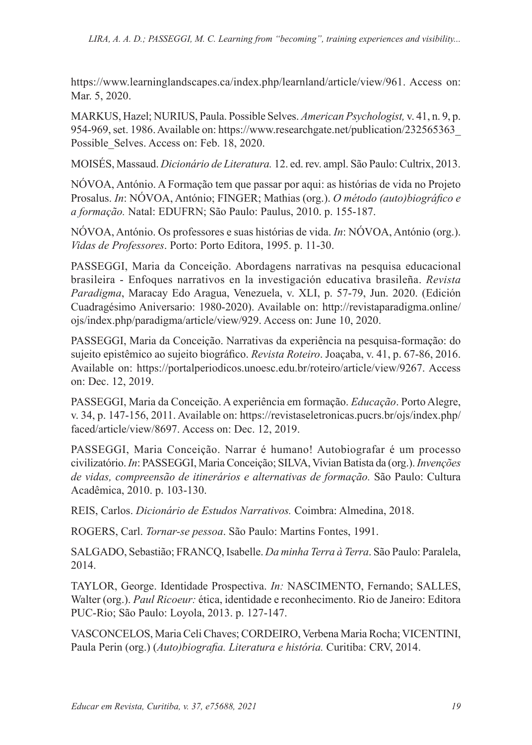https://www.learninglandscapes.ca/index.php/learnland/article/view/961. Access on: Mar. 5, 2020.

MARKUS, Hazel; NURIUS, Paula. Possible Selves. *American Psychologist,* v. 41, n. 9, p. 954-969, set. 1986. Available on: https://www.researchgate.net/publication/232565363\_ Possible Selves. Access on: Feb. 18, 2020.

MOISÉS, Massaud. *Dicionário de Literatura.* 12. ed. rev. ampl. São Paulo: Cultrix, 2013.

NÓVOA, António. A Formação tem que passar por aqui: as histórias de vida no Projeto Prosalus. *In*: NÓVOA, António; FINGER; Mathias (org.). *O método (auto)biográfico e a formação.* Natal: EDUFRN; São Paulo: Paulus, 2010. p. 155-187.

NÓVOA, António. Os professores e suas histórias de vida. *In*: NÓVOA, António (org.). *Vidas de Professores*. Porto: Porto Editora, 1995. p. 11-30.

PASSEGGI, Maria da Conceição. Abordagens narrativas na pesquisa educacional brasileira - Enfoques narrativos en la investigación educativa brasileña. *Revista Paradigma*, Maracay Edo Aragua, Venezuela, v. XLI, p. 57-79, Jun. 2020. (Edición Cuadragésimo Aniversario: 1980-2020). Available on: http://revistaparadigma.online/ ojs/index.php/paradigma/article/view/929. Access on: June 10, 2020.

PASSEGGI, Maria da Conceição. Narrativas da experiência na pesquisa-formação: do sujeito epistêmico ao sujeito biográfico. *Revista Roteiro*. Joaçaba, v. 41, p. 67-86, 2016. Available on: https://portalperiodicos.unoesc.edu.br/roteiro/article/view/9267. Access on: Dec. 12, 2019.

PASSEGGI, Maria da Conceição. A experiência em formação. *Educação*. Porto Alegre, v. 34, p. 147-156, 2011. Available on: https://revistaseletronicas.pucrs.br/ojs/index.php/ faced/article/view/8697. Access on: Dec. 12, 2019.

PASSEGGI, Maria Conceição. Narrar é humano! Autobiografar é um processo civilizatório. *In*: PASSEGGI, Maria Conceição; SILVA, Vivian Batista da (org.). *Invenções de vidas, compreensão de itinerários e alternativas de formação.* São Paulo: Cultura Acadêmica, 2010. p. 103-130.

REIS, Carlos. *Dicionário de Estudos Narrativos.* Coimbra: Almedina, 2018.

ROGERS, Carl. *Tornar-se pessoa*. São Paulo: Martins Fontes, 1991.

SALGADO, Sebastião; FRANCQ, Isabelle. *Da minha Terra à Terra*. São Paulo: Paralela, 2014.

TAYLOR, George. Identidade Prospectiva. *In:* NASCIMENTO, Fernando; SALLES, Walter (org.). *Paul Ricoeur:* ética, identidade e reconhecimento. Rio de Janeiro: Editora PUC-Rio; São Paulo: Loyola, 2013. p. 127-147.

VASCONCELOS, Maria Celi Chaves; CORDEIRO, Verbena Maria Rocha; VICENTINI, Paula Perin (org.) (*Auto)biografia. Literatura e história.* Curitiba: CRV, 2014.